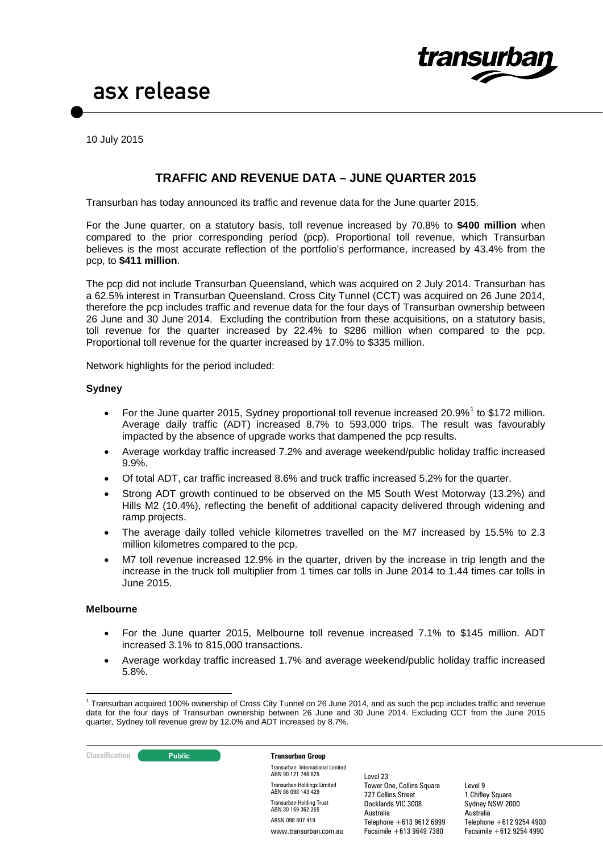

10 July 2015

### **TRAFFIC AND REVENUE DATA – JUNE QUARTER 2015**

Transurban has today announced its traffic and revenue data for the June quarter 2015.

For the June quarter, on a statutory basis, toll revenue increased by 70.8% to **\$400 million** when compared to the prior corresponding period (pcp). Proportional toll revenue, which Transurban believes is the most accurate reflection of the portfolio's performance, increased by 43.4% from the pcp, to **\$411 million**.

The pcp did not include Transurban Queensland, which was acquired on 2 July 2014. Transurban has a 62.5% interest in Transurban Queensland. Cross City Tunnel (CCT) was acquired on 26 June 2014, therefore the pcp includes traffic and revenue data for the four days of Transurban ownership between 26 June and 30 June 2014. Excluding the contribution from these acquisitions, on a statutory basis, toll revenue for the quarter increased by 22.4% to \$286 million when compared to the pcp. Proportional toll revenue for the quarter increased by 17.0% to \$335 million.

Network highlights for the period included:

#### **Sydney**

- For the June quarter 20[1](#page-0-0)5, Sydney proportional toll revenue increased 20.9% $^1$  to \$172 million. Average daily traffic (ADT) increased 8.7% to 593,000 trips. The result was favourably impacted by the absence of upgrade works that dampened the pcp results.
- Average workday traffic increased 7.2% and average weekend/public holiday traffic increased 9.9%.
- Of total ADT, car traffic increased 8.6% and truck traffic increased 5.2% for the quarter.
- Strong ADT growth continued to be observed on the M5 South West Motorway (13.2%) and Hills M2 (10.4%), reflecting the benefit of additional capacity delivered through widening and ramp projects.
- The average daily tolled vehicle kilometres travelled on the M7 increased by 15.5% to 2.3 million kilometres compared to the pcp.
- M7 toll revenue increased 12.9% in the quarter, driven by the increase in trip length and the increase in the truck toll multiplier from 1 times car tolls in June 2014 to 1.44 times car tolls in June 2015.

#### **Melbourne**

- For the June quarter 2015, Melbourne toll revenue increased 7.1% to \$145 million. ADT increased 3.1% to 815,000 transactions.
- Average workday traffic increased 1.7% and average weekend/public holiday traffic increased 5.8%.

Docklands VIC 3008 Australia

Telephone +613 9612 6999 Facsimile +613 9649 7380



ABN 30 169 362 255 ARSN 098 807 419 www.transurban.com.au

<span id="page-0-0"></span> $1$  Transurban acquired 100% ownership of Cross City Tunnel on 26 June 2014, and as such the pcp includes traffic and revenue data for the four days of Transurban ownership between 26 June and 30 June 2014. Excluding CCT from the June 2015 quarter, Sydney toll revenue grew by 12.0% and ADT increased by 8.7%.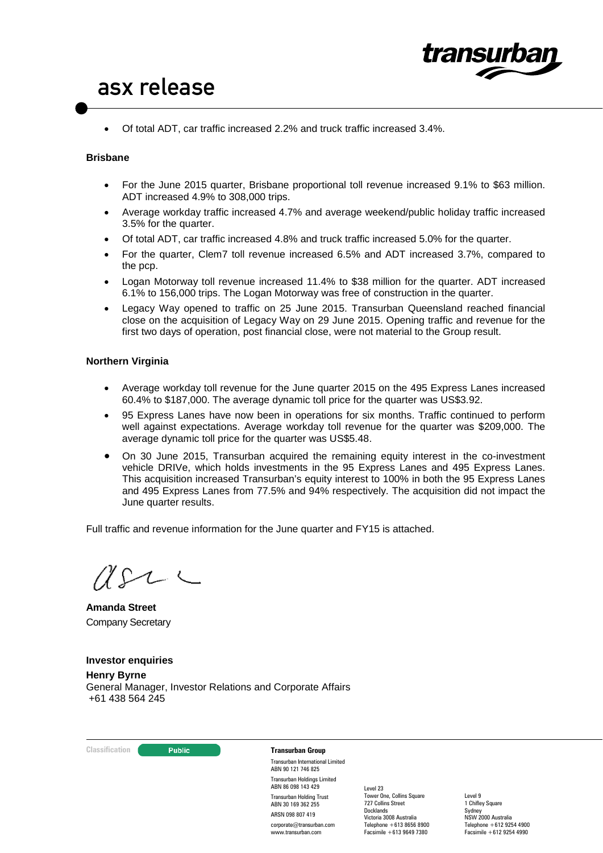

• Of total ADT, car traffic increased 2.2% and truck traffic increased 3.4%.

### **Brisbane**

- For the June 2015 quarter, Brisbane proportional toll revenue increased 9.1% to \$63 million. ADT increased 4.9% to 308,000 trips.
- Average workday traffic increased 4.7% and average weekend/public holiday traffic increased 3.5% for the quarter.
- Of total ADT, car traffic increased 4.8% and truck traffic increased 5.0% for the quarter.
- For the quarter, Clem7 toll revenue increased 6.5% and ADT increased 3.7%, compared to the pcp.
- Logan Motorway toll revenue increased 11.4% to \$38 million for the quarter. ADT increased 6.1% to 156,000 trips. The Logan Motorway was free of construction in the quarter.
- Legacy Way opened to traffic on 25 June 2015. Transurban Queensland reached financial close on the acquisition of Legacy Way on 29 June 2015. Opening traffic and revenue for the first two days of operation, post financial close, were not material to the Group result.

#### **Northern Virginia**

- Average workday toll revenue for the June quarter 2015 on the 495 Express Lanes increased 60.4% to \$187,000. The average dynamic toll price for the quarter was US\$3.92.
- 95 Express Lanes have now been in operations for six months. Traffic continued to perform well against expectations. Average workday toll revenue for the quarter was \$209,000. The average dynamic toll price for the quarter was US\$5.48.
- On 30 June 2015, Transurban acquired the remaining equity interest in the co-investment vehicle DRIVe, which holds investments in the 95 Express Lanes and 495 Express Lanes. This acquisition increased Transurban's equity interest to 100% in both the 95 Express Lanes and 495 Express Lanes from 77.5% and 94% respectively. The acquisition did not impact the June quarter results.

Full traffic and revenue information for the June quarter and FY15 is attached.

 $USL \subset$ 

**Amanda Street** Company Secretary

**Investor enquiries Henry Byrne** General Manager, Investor Relations and Corporate Affairs +61 438 564 245

**Classification Constitution Transurban Group** 

Transurban International Limited ABN 90 121 746 825 Transurban Holdings Limited ABN 86 098 143 429 Transurban Holding Trust ABN 30 169 362 255 ARSN 098 807 419 corporate@transurban.com

www.transurban.com

Level 23 Tower One, Collins Square 727 Collins Street Docklands Victoria 3008 Australia Telephone +613 8656 8900 Facsimile +613 9649 7380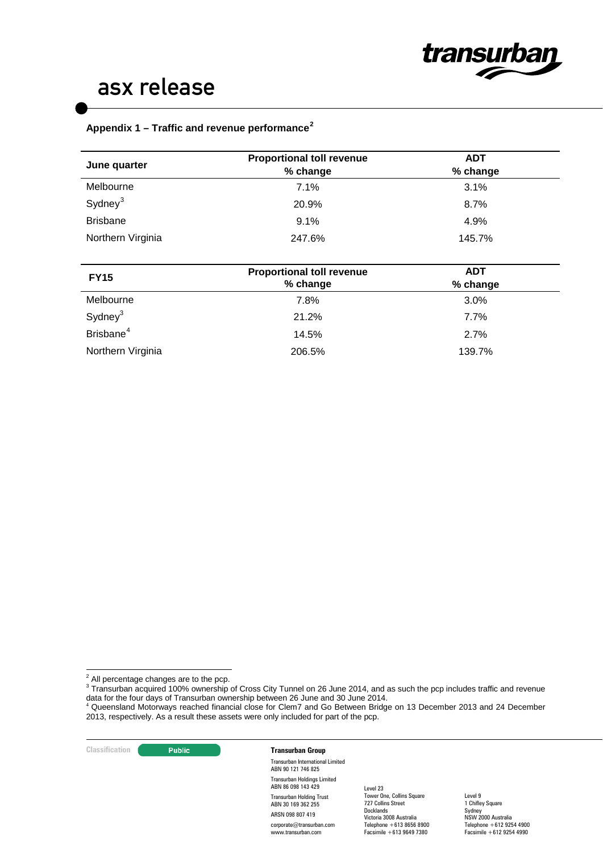

### **Appendix 1 – Traffic and revenue performance[2](#page-2-0)**

| June quarter          | <b>Proportional toll revenue</b>             | <b>ADT</b>             |  |
|-----------------------|----------------------------------------------|------------------------|--|
|                       | % change                                     | % change               |  |
| Melbourne             | 7.1%                                         | 3.1%                   |  |
| Sydney <sup>3</sup>   | 20.9%                                        | 8.7%                   |  |
| <b>Brisbane</b>       | 9.1%                                         | 4.9%                   |  |
| Northern Virginia     | 247.6%                                       | 145.7%                 |  |
|                       |                                              |                        |  |
| <b>FY15</b>           | <b>Proportional toll revenue</b><br>% change | <b>ADT</b><br>% change |  |
| Melbourne             | 7.8%                                         | 3.0%                   |  |
| Sydney <sup>3</sup>   | 21.2%                                        | 7.7%                   |  |
| Brisbane <sup>4</sup> | 14.5%                                        | 2.7%                   |  |
| Northern Virginia     | 206.5%                                       | 139.7%                 |  |

<span id="page-2-0"></span><sup>2</sup> All percentage changes are to the pcp.

<span id="page-2-1"></span><sup>3</sup> Transurban acquired 100% ownership of Cross City Tunnel on 26 June 2014, and as such the pcp includes traffic and revenue data for the four days of Transurban ownership between 26 June and 30 June 2014.<br><sup>4</sup> Queensland Motorways reached financial close for Clem7 and Go Between Bridge on 13 December 2013 and 24 December

**Classification** 

Transurban International Limited ABN 90 121 746 825 Transurban Holdings Limited ABN 86 098 143 429 Transurban Holding Trust ABN 30 169 362 255 ARSN 098 807 419 corporate@transurban.com www.transurban.com

Level 23 Tower One, Collins Square 727 Collins Street Docklands Victoria 3008 Australia Telephone +613 8656 8900 Facsimile +613 9649 7380

<span id="page-2-2"></span><sup>2013,</sup> respectively. As a result these assets were only included for part of the pcp.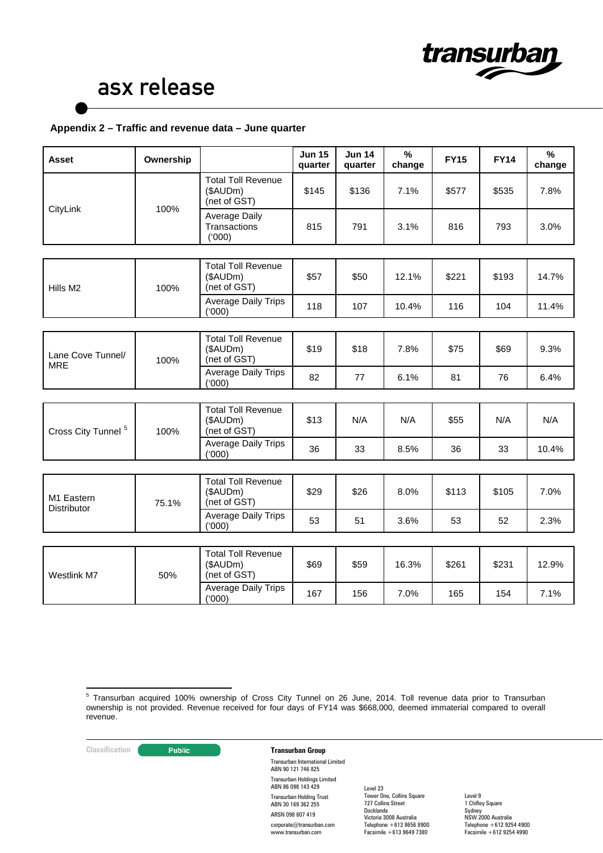

### **Appendix 2 – Traffic and revenue data – June quarter**

| <b>Asset</b>                    | Ownership |                                                       | <b>Jun 15</b><br>quarter | <b>Jun 14</b><br>quarter | $\frac{9}{6}$<br>change | <b>FY15</b> | <b>FY14</b> | $\%$<br>change |
|---------------------------------|-----------|-------------------------------------------------------|--------------------------|--------------------------|-------------------------|-------------|-------------|----------------|
| CityLink                        | 100%      | <b>Total Toll Revenue</b><br>(\$AUDm)<br>(net of GST) | \$145                    | \$136                    | 7.1%                    | \$577       | \$535       | 7.8%           |
|                                 |           | <b>Average Daily</b><br>Transactions<br>(000)         | 815                      | 791                      | 3.1%                    | 816         | 793         | 3.0%           |
|                                 |           |                                                       |                          |                          |                         |             |             |                |
| Hills M <sub>2</sub>            | 100%      | <b>Total Toll Revenue</b><br>(\$AUDm)<br>(net of GST) | \$57                     | \$50                     | 12.1%                   | \$221       | \$193       | 14.7%          |
|                                 |           | <b>Average Daily Trips</b><br>(000)                   | 118                      | 107                      | 10.4%                   | 116         | 104         | 11.4%          |
|                                 |           |                                                       |                          |                          |                         |             |             |                |
| Lane Cove Tunnel/<br><b>MRE</b> | 100%      | <b>Total Toll Revenue</b><br>(\$AUDm)<br>(net of GST) | \$19                     | \$18                     | 7.8%                    | \$75        | \$69        | 9.3%           |
|                                 |           | <b>Average Daily Trips</b><br>('000)                  | 82                       | 77                       | 6.1%                    | 81          | 76          | 6.4%           |
|                                 |           |                                                       |                          |                          |                         |             |             |                |
| Cross City Tunnel <sup>5</sup>  | 100%      | <b>Total Toll Revenue</b><br>(\$AUDm)<br>(net of GST) | \$13                     | N/A                      | N/A                     | \$55        | N/A         | N/A            |
|                                 |           | <b>Average Daily Trips</b><br>(000)                   | 36                       | 33                       | 8.5%                    | 36          | 33          | 10.4%          |
|                                 |           |                                                       |                          |                          |                         |             |             |                |
| M1 Eastern<br>Distributor       | 75.1%     | <b>Total Toll Revenue</b><br>(\$AUDm)<br>(net of GST) | \$29                     | \$26                     | 8.0%                    | \$113       | \$105       | 7.0%           |
|                                 |           | <b>Average Daily Trips</b><br>(000)                   | 53                       | 51                       | 3.6%                    | 53          | 52          | 2.3%           |
|                                 |           |                                                       |                          |                          |                         |             |             |                |
| Westlink M7                     | 50%       | <b>Total Toll Revenue</b><br>(\$AUDm)<br>(net of GST) | \$69                     | \$59                     | 16.3%                   | \$261       | \$231       | 12.9%          |
|                                 |           | <b>Average Daily Trips</b><br>(000)                   | 167                      | 156                      | 7.0%                    | 165         | 154         | 7.1%           |

**Classification Transurban Group** 

Transurban International Limited ABN 90 121 746 825 Transurban Holdings Limited ABN 86 098 143 429 Transurban Holding Trust ABN 30 169 362 255 ARSN 098 807 419 corporate@transurban.com www.transurban.com

Level 23 Tower One, Collins Square 727 Collins Street Docklands Victoria 3008 Australia Telephone +613 8656 8900 Facsimile +613 9649 7380

<span id="page-3-0"></span><sup>5</sup> Transurban acquired 100% ownership of Cross City Tunnel on 26 June, 2014. Toll revenue data prior to Transurban ownership is not provided. Revenue received for four days of FY14 was \$668,000, deemed immaterial compared to overall revenue.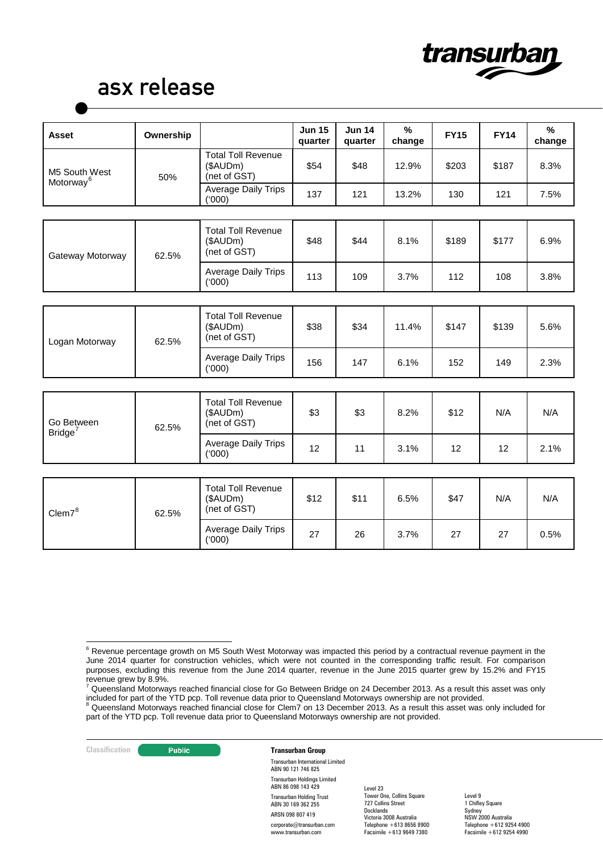

| <b>Asset</b>                           | Ownership |                                                       | <b>Jun 15</b><br>quarter | <b>Jun 14</b><br>quarter | $\frac{9}{6}$<br>change | <b>FY15</b> | <b>FY14</b> | $\%$<br>change |
|----------------------------------------|-----------|-------------------------------------------------------|--------------------------|--------------------------|-------------------------|-------------|-------------|----------------|
| M5 South West<br>Motorway <sup>6</sup> | 50%       | <b>Total Toll Revenue</b><br>(\$AUDm)<br>(net of GST) | \$54                     | \$48                     | 12.9%                   | \$203       | \$187       | 8.3%           |
|                                        |           | Average Daily Trips<br>(1000)                         | 137                      | 121                      | 13.2%                   | 130         | 121         | 7.5%           |
|                                        |           |                                                       |                          |                          |                         |             |             |                |
| Gateway Motorway                       | 62.5%     | <b>Total Toll Revenue</b><br>(\$AUDm)<br>(net of GST) | \$48                     | \$44                     | 8.1%                    | \$189       | \$177       | 6.9%           |
|                                        |           | Average Daily Trips<br>(000)                          | 113                      | 109                      | 3.7%                    | 112         | 108         | 3.8%           |
|                                        |           |                                                       |                          |                          |                         |             |             |                |
| Logan Motorway                         | 62.5%     | <b>Total Toll Revenue</b><br>(\$AUDm)<br>(net of GST) | \$38                     | \$34                     | 11.4%                   | \$147       | \$139       | 5.6%           |
|                                        |           | Average Daily Trips<br>(000)                          | 156                      | 147                      | 6.1%                    | 152         | 149         | 2.3%           |
|                                        |           |                                                       |                          |                          |                         |             |             |                |
| Go Between<br>Bridge <sup>7</sup>      | 62.5%     | <b>Total Toll Revenue</b><br>(\$AUDm)<br>(net of GST) | \$3                      | \$3                      | 8.2%                    | \$12        | N/A         | N/A            |
|                                        |           | Average Daily Trips<br>(000)                          | 12                       | 11                       | 3.1%                    | 12          | 12          | 2.1%           |
|                                        |           |                                                       |                          |                          |                         |             |             |                |
| Clem7 <sup>8</sup>                     | 62.5%     | <b>Total Toll Revenue</b><br>(\$AUDm)<br>(net of GST) | \$12                     | \$11                     | 6.5%                    | \$47        | N/A         | N/A            |
|                                        |           | Average Daily Trips<br>(000)                          | 27                       | 26                       | 3.7%                    | 27          | 27          | 0.5%           |

**Classification** 

Transurban International Limited ABN 90 121 746 825 Transurban Holdings Limited ABN 86 098 143 429 Transurban Holding Trust ABN 30 169 362 255 ARSN 098 807 419 corporate@transurban.com www.transurban.com

Level 23 Tower One, Collins Square 727 Collins Street Docklands Victoria 3008 Australia Telephone +613 8656 8900 Facsimile +613 9649 7380

<span id="page-4-0"></span> $6$  Revenue percentage growth on M5 South West Motorway was impacted this period by a contractual revenue payment in the June 2014 quarter for construction vehicles, which were not counted in the corresponding traffic result. For comparison purposes, excluding this revenue from the June 2014 quarter, revenue in the June 2015 quarter grew by 15.2% and FY15

<span id="page-4-1"></span>revenue grew by 8.9%.<br><sup>7</sup> Queensland Motorways reached financial close for Go Between Bridge on 24 December 2013. As a result this asset was only included for part of the YTD pcp. Toll revenue data prior to Queensland Motorways ownership are not provided.<br><sup>8</sup> Queensland Motorways reached financial close for Clem7 on 13 December 2013. As a result this asset was only

<span id="page-4-2"></span>part of the YTD pcp. Toll revenue data prior to Queensland Motorways ownership are not provided.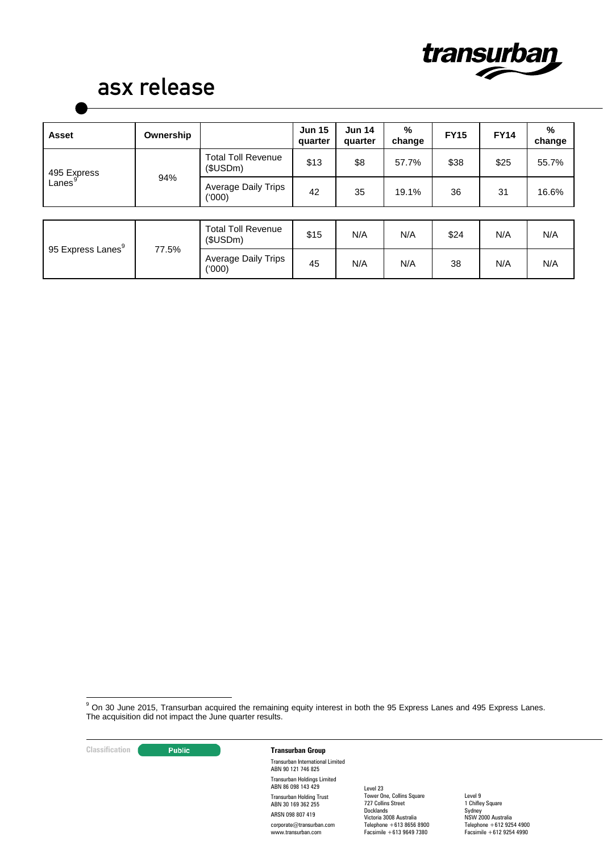

| <b>Asset</b>                           | Ownership |                                       | <b>Jun 15</b><br>quarter | <b>Jun 14</b><br>quarter | %<br>change | <b>FY15</b> | <b>FY14</b> | %<br>change |
|----------------------------------------|-----------|---------------------------------------|--------------------------|--------------------------|-------------|-------------|-------------|-------------|
| 495 Express<br>Lanes $^{\mathfrak{g}}$ | 94%       | <b>Total Toll Revenue</b><br>(\$USDm) | \$13                     | \$8                      | 57.7%       | \$38        | \$25        | 55.7%       |
|                                        |           | Average Daily Trips<br>(000)          | 42                       | 35                       | 19.1%       | 36          | 31          | 16.6%       |
|                                        |           |                                       |                          |                          |             |             |             |             |
| 95 Express Lanes <sup>9</sup>          | 77.5%     | <b>Total Toll Revenue</b><br>\$USDm)  | \$15                     | N/A                      | N/A         | \$24        | N/A         | N/A         |
|                                        |           | <b>Average Daily Trips</b><br>(000)   | 45                       | N/A                      | N/A         | 38          | N/A         | N/A         |

<span id="page-5-0"></span><sup>9</sup> On 30 June 2015, Transurban acquired the remaining equity interest in both the 95 Express Lanes and 495 Express Lanes. The acquisition did not impact the June quarter results.

## **Classification Transurban Group**

Transurban International Limited ABN 90 121 746 825 Transurban Holdings Limited ABN 86 098 143 429 Transurban Holding Trust ABN 30 169 362 255 ARSN 098 807 419 corporate@transurban.com www.transurban.com

Level 23 Tower One, Collins Square 727 Collins Street Docklands Victoria 3008 Australia Telephone +613 8656 8900 Facsimile +613 9649 7380